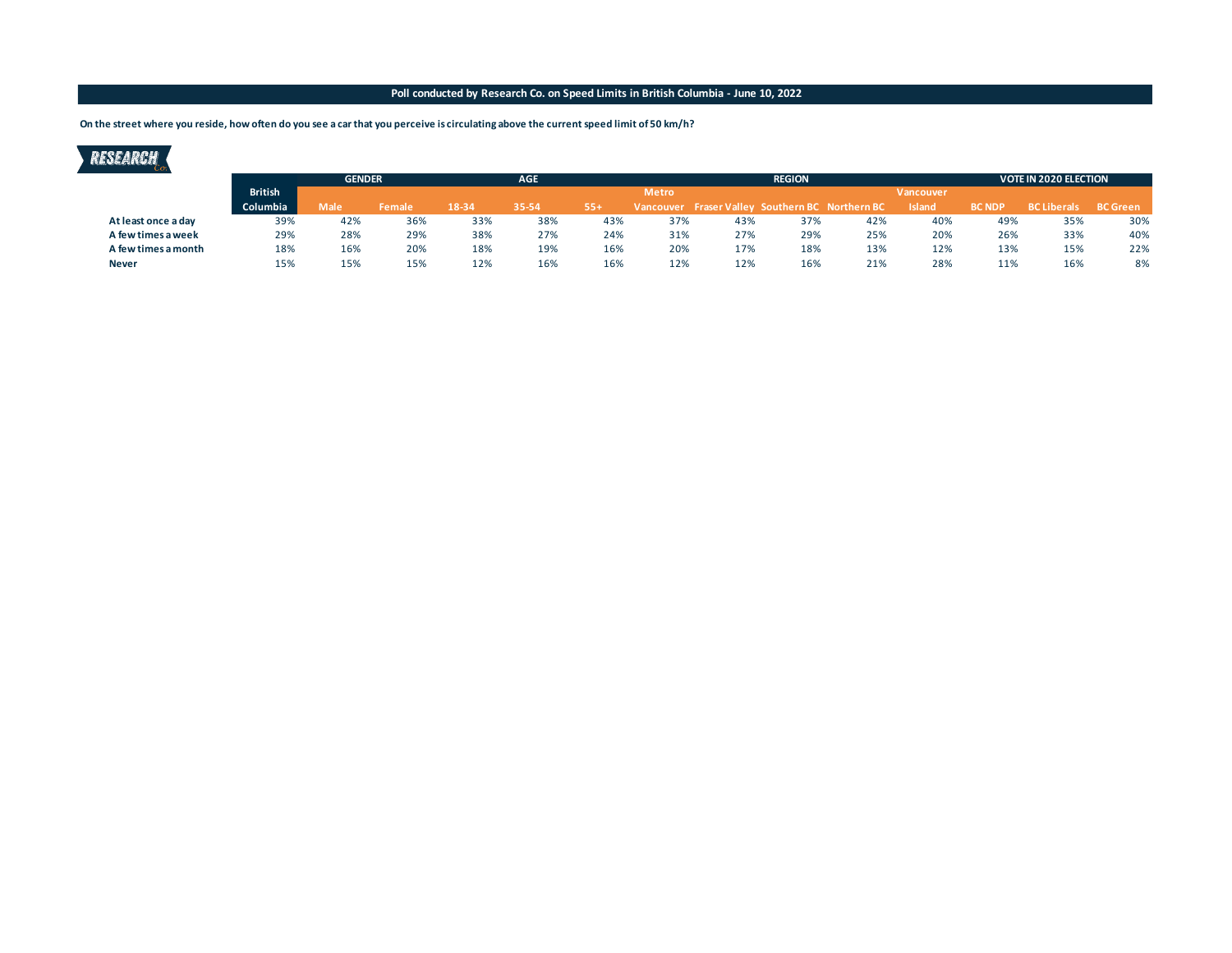### **Poll conducted by Research Co. on Speed Limits in British Columbia - June 10, 2022**

**On the street where you reside, how often do you see a car that you perceive is circulating above the current speed limit of 50 km/h?**

## RESEARCH

|                     |                | <b>GENDER</b> |        |       | <b>AGE</b> |     |              | <b>REGION</b>                                   |     |     |                  |               | <b>VOTE IN 2020 ELECTION</b> |                 |  |
|---------------------|----------------|---------------|--------|-------|------------|-----|--------------|-------------------------------------------------|-----|-----|------------------|---------------|------------------------------|-----------------|--|
|                     | <b>British</b> |               |        |       |            |     | <b>Metro</b> |                                                 |     |     | <b>Vancouver</b> |               |                              |                 |  |
|                     | Columbia       | Male          | Female | 18-34 | 35-54      | 55+ |              | Vancouver Fraser Valley Southern BC Northern BC |     |     | <b>Island</b>    | <b>BC NDP</b> | <b>BC Liberals</b>           | <b>BC</b> Green |  |
| At least once a day | 39%            | 42%           | 36%    | 33%   | 38%        | 43% | 37%          | 43%                                             | 37% | 42% | 40%              | 49%           | 35%                          | 30%             |  |
| A few times a week  | 29%            | 28%           | 29%    | 38%   | 27%        | 24% | 31%          | 27%                                             | 29% | 25% | 20%              | 26%           | 33%                          | 40%             |  |
| A few times a month | 18%            | 16%           | 20%    | 18%   | 19%        | 16% | 20%          | 17%                                             | 18% | 13% | 12%              | 13%           | 15%                          | 22%             |  |
| <b>Never</b>        | 15%            | 15%           | 15%    | 12%   | 16%        | 16% | 12%          | 12%                                             | 16% | 21% | 28%              | 11%           | 16%                          | 8%              |  |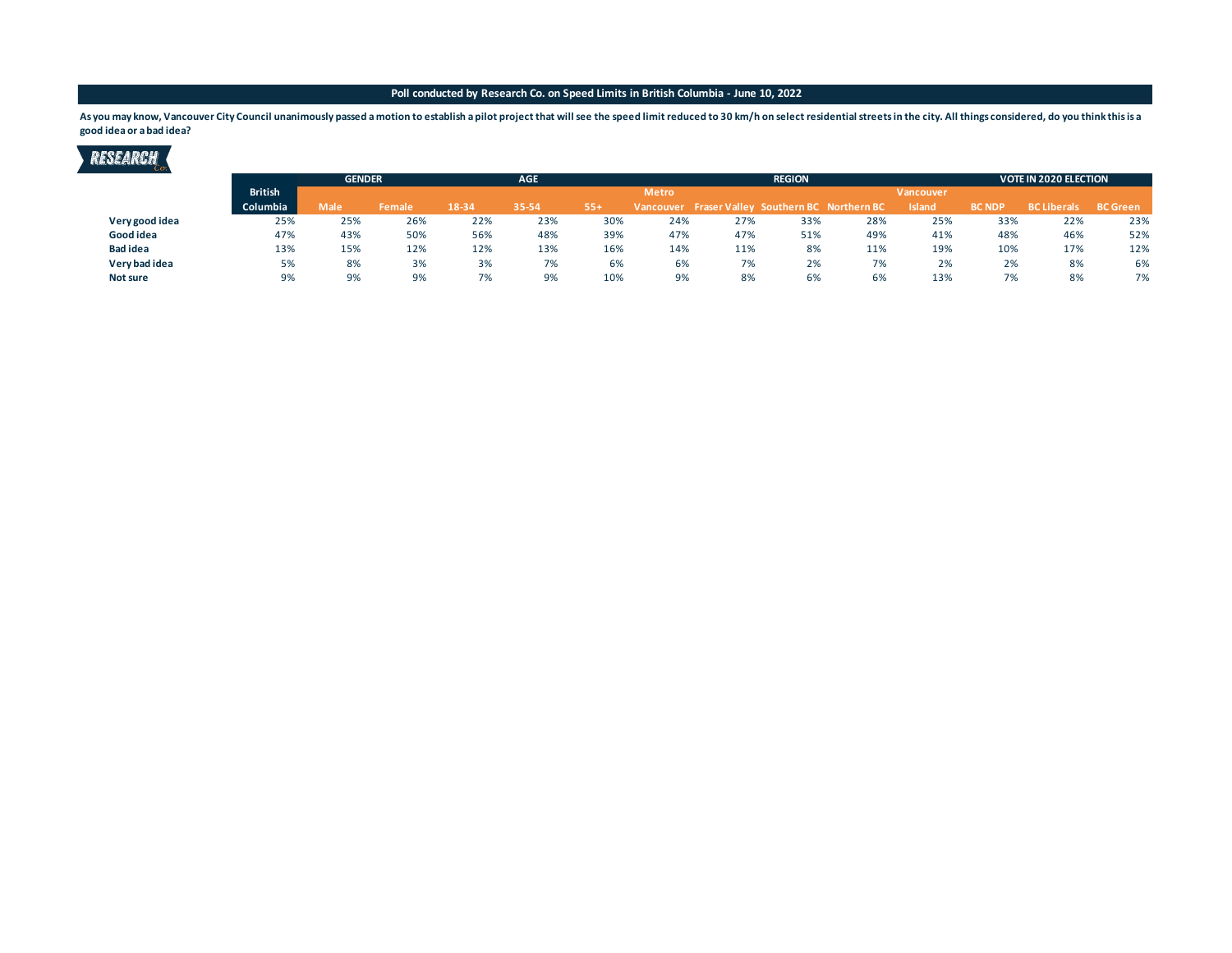#### **Poll conducted by Research Co. on Speed Limits in British Columbia - June 10, 2022**

As you may know, Vancouver City Council unanimously passed a motion to establish a pilot project that will see the speed limit reduced to 30 km/h on select residential streets in the city. All things considered, do you thi **good idea or a bad idea?**



|                 |                 | <b>GENDER</b> |        | <b>AGE</b> |       |       | <b>REGION</b> |                                                 |     |     |                  |               | <b>VOTE IN 2020 ELECTION</b> |                 |  |
|-----------------|-----------------|---------------|--------|------------|-------|-------|---------------|-------------------------------------------------|-----|-----|------------------|---------------|------------------------------|-----------------|--|
|                 | <b>British</b>  |               |        |            |       |       | <b>Metro</b>  |                                                 |     |     | <b>Vancouver</b> |               |                              |                 |  |
|                 | <b>Columbia</b> | <b>Male</b>   | Female | 18-34      | 35-54 | $55+$ |               | Vancouver Fraser Valley Southern BC Northern BC |     |     | Island           | <b>BC NDP</b> | <b>BC Liberals</b>           | <b>BC</b> Green |  |
| Very good idea  | 25%             | 25%           | 26%    | 22%        | 23%   | 30%   | 24%           | 27%                                             | 33% | 28% | 25%              | 33%           | 22%                          | 23%             |  |
| Good idea       | 47%             | 43%           | 50%    | 56%        | 48%   | 39%   | 47%           | 47%                                             | 51% | 49% | 41%              | 48%           | 46%                          | 52%             |  |
| <b>Bad idea</b> | 13%             | 15%           | 12%    | 12%        | 13%   | 16%   | 14%           | 11%                                             | 8%  | 11% | 19%              | 10%           | 17%                          | 12%             |  |
| Very bad idea   | 5%              | 8%            | 3%     | 3%         | 7%    | 6%    | 6%            | 7%                                              | 2%  | 7%  | 2%               | 2%            | 8%                           | 6%              |  |
| Not sure        | 9%              | 9%            | 9%     | 7%         | 9%    | 10%   | 9%            | 8%                                              | 6%  | 6%  | 13%              | 7%            | 8%                           | 7%              |  |